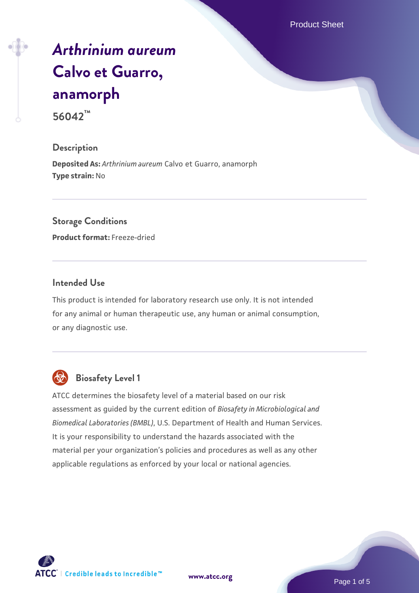Product Sheet

# *[Arthrinium aureum](https://www.atcc.org/products/56042)* **[Calvo et Guarro,](https://www.atcc.org/products/56042) [anamorph](https://www.atcc.org/products/56042)**

**56042™**

## **Description**

**Deposited As:** *Arthrinium aureum* Calvo et Guarro, anamorph **Type strain:** No

## **Storage Conditions**

**Product format:** Freeze-dried

### **Intended Use**

This product is intended for laboratory research use only. It is not intended for any animal or human therapeutic use, any human or animal consumption, or any diagnostic use.



## **Biosafety Level 1**

ATCC determines the biosafety level of a material based on our risk assessment as guided by the current edition of *Biosafety in Microbiological and Biomedical Laboratories (BMBL)*, U.S. Department of Health and Human Services. It is your responsibility to understand the hazards associated with the material per your organization's policies and procedures as well as any other applicable regulations as enforced by your local or national agencies.

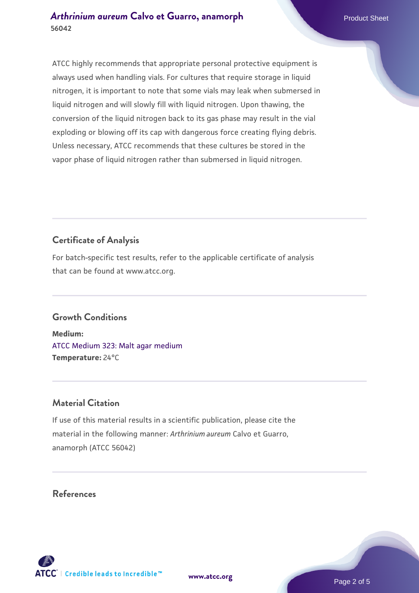ATCC highly recommends that appropriate personal protective equipment is always used when handling vials. For cultures that require storage in liquid nitrogen, it is important to note that some vials may leak when submersed in liquid nitrogen and will slowly fill with liquid nitrogen. Upon thawing, the conversion of the liquid nitrogen back to its gas phase may result in the vial exploding or blowing off its cap with dangerous force creating flying debris. Unless necessary, ATCC recommends that these cultures be stored in the vapor phase of liquid nitrogen rather than submersed in liquid nitrogen.

## **Certificate of Analysis**

For batch-specific test results, refer to the applicable certificate of analysis that can be found at www.atcc.org.

## **Growth Conditions**

**Medium:**  [ATCC Medium 323: Malt agar medium](https://www.atcc.org/-/media/product-assets/documents/microbial-media-formulations/3/2/3/atcc-medium-323.pdf?rev=58d6457ee20149d7a1c844947569ef92) **Temperature:** 24°C

## **Material Citation**

If use of this material results in a scientific publication, please cite the material in the following manner: *Arthrinium aureum* Calvo et Guarro, anamorph (ATCC 56042)

## **References**



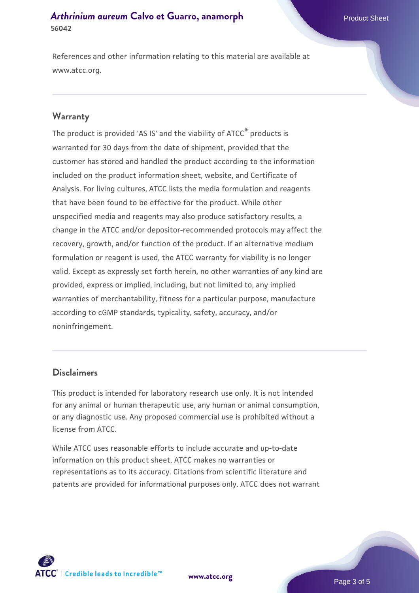References and other information relating to this material are available at www.atcc.org.

#### **Warranty**

The product is provided 'AS IS' and the viability of ATCC® products is warranted for 30 days from the date of shipment, provided that the customer has stored and handled the product according to the information included on the product information sheet, website, and Certificate of Analysis. For living cultures, ATCC lists the media formulation and reagents that have been found to be effective for the product. While other unspecified media and reagents may also produce satisfactory results, a change in the ATCC and/or depositor-recommended protocols may affect the recovery, growth, and/or function of the product. If an alternative medium formulation or reagent is used, the ATCC warranty for viability is no longer valid. Except as expressly set forth herein, no other warranties of any kind are provided, express or implied, including, but not limited to, any implied warranties of merchantability, fitness for a particular purpose, manufacture according to cGMP standards, typicality, safety, accuracy, and/or noninfringement.

#### **Disclaimers**

This product is intended for laboratory research use only. It is not intended for any animal or human therapeutic use, any human or animal consumption, or any diagnostic use. Any proposed commercial use is prohibited without a license from ATCC.

While ATCC uses reasonable efforts to include accurate and up-to-date information on this product sheet, ATCC makes no warranties or representations as to its accuracy. Citations from scientific literature and patents are provided for informational purposes only. ATCC does not warrant

**[www.atcc.org](http://www.atcc.org)**



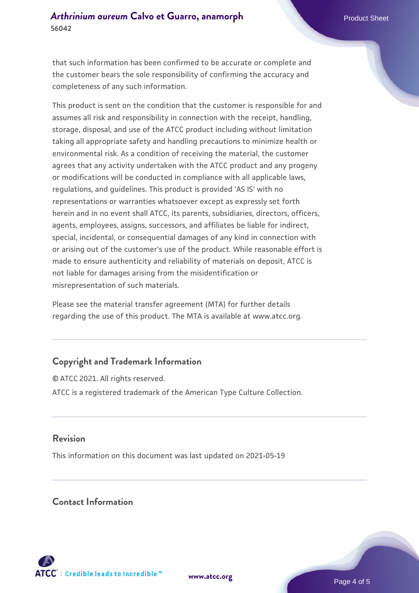that such information has been confirmed to be accurate or complete and the customer bears the sole responsibility of confirming the accuracy and completeness of any such information.

This product is sent on the condition that the customer is responsible for and assumes all risk and responsibility in connection with the receipt, handling, storage, disposal, and use of the ATCC product including without limitation taking all appropriate safety and handling precautions to minimize health or environmental risk. As a condition of receiving the material, the customer agrees that any activity undertaken with the ATCC product and any progeny or modifications will be conducted in compliance with all applicable laws, regulations, and guidelines. This product is provided 'AS IS' with no representations or warranties whatsoever except as expressly set forth herein and in no event shall ATCC, its parents, subsidiaries, directors, officers, agents, employees, assigns, successors, and affiliates be liable for indirect, special, incidental, or consequential damages of any kind in connection with or arising out of the customer's use of the product. While reasonable effort is made to ensure authenticity and reliability of materials on deposit, ATCC is not liable for damages arising from the misidentification or misrepresentation of such materials.

Please see the material transfer agreement (MTA) for further details regarding the use of this product. The MTA is available at www.atcc.org.

## **Copyright and Trademark Information**

© ATCC 2021. All rights reserved. ATCC is a registered trademark of the American Type Culture Collection.

### **Revision**

This information on this document was last updated on 2021-05-19

## **Contact Information**



**[www.atcc.org](http://www.atcc.org)**